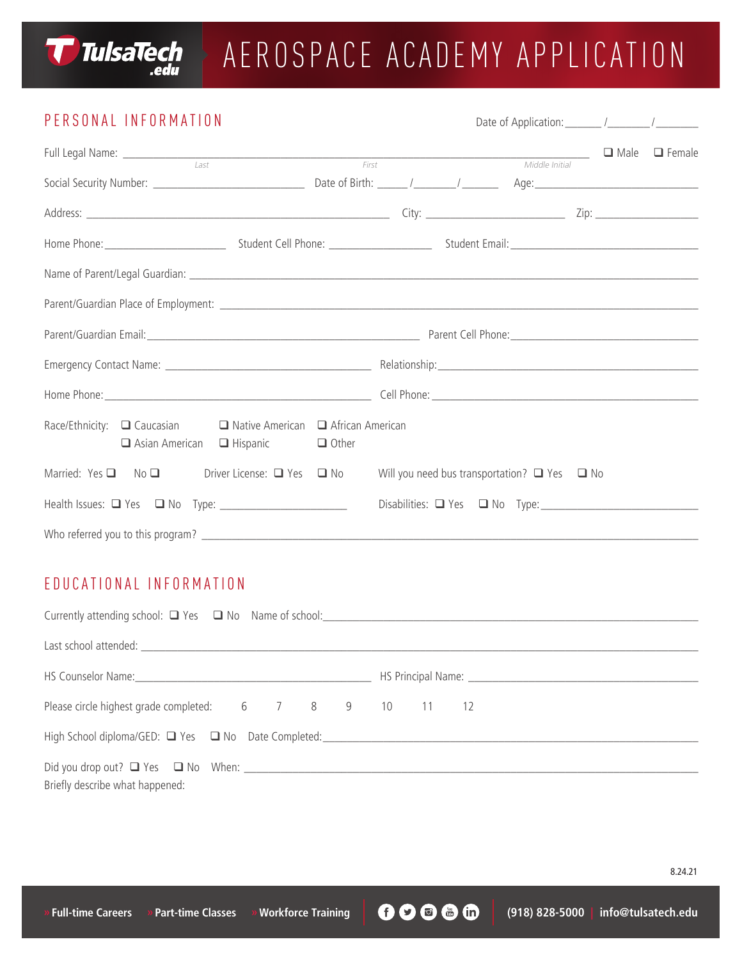

# AEROSPACE ACADEMY APPLICATION

### PERSONAL INFORMATION Date of Application: The Material Material Material Material Material Material Material Material Material Material Material Material Material Material Material Material Material Material Material Mater Full Legal Name: \_\_\_\_\_\_\_\_\_\_\_\_\_\_\_\_\_\_\_\_\_\_\_\_\_\_\_\_\_\_\_\_\_\_\_\_\_\_\_\_\_\_\_\_\_\_\_\_\_\_\_\_\_\_\_\_\_\_\_\_\_\_\_\_\_\_\_\_\_\_\_\_\_\_\_\_\_ q Male q Female Last First Middle Initial Social Security Number: \_\_\_\_\_\_\_\_\_\_\_\_\_\_\_\_\_\_\_\_\_\_\_\_\_ Date of Birth: \_\_\_\_\_ /\_\_\_\_\_\_\_/ \_\_\_\_\_\_ Age:\_\_\_\_\_\_\_\_\_\_\_\_\_\_\_\_\_\_\_\_\_\_\_\_\_\_\_ Address: \_\_\_\_\_\_\_\_\_\_\_\_\_\_\_\_\_\_\_\_\_\_\_\_\_\_\_\_\_\_\_\_\_\_\_\_\_\_\_\_\_\_\_\_\_\_\_\_\_\_ City: \_\_\_\_\_\_\_\_\_\_\_\_\_\_\_\_\_\_\_\_\_\_\_ Zip: \_\_\_\_\_\_\_\_\_\_\_\_\_\_\_\_\_ Home Phone:\_\_\_\_\_\_\_\_\_\_\_\_\_\_\_\_\_\_\_\_ Student Cell Phone: \_\_\_\_\_\_\_\_\_\_\_\_\_\_\_\_\_ Student Email:\_\_\_\_\_\_\_\_\_\_\_\_\_\_\_\_\_\_\_\_\_\_\_\_\_\_\_\_\_\_\_ Name of Parent/Legal Guardian: \_\_\_\_\_\_\_\_\_\_\_\_\_\_\_\_\_\_\_\_\_\_\_\_\_\_\_\_\_\_\_\_\_\_\_\_\_\_\_\_\_\_\_\_\_\_\_\_\_\_\_\_\_\_\_\_\_\_\_\_\_\_\_\_\_\_\_\_\_\_\_\_\_\_\_\_\_\_\_\_\_\_\_\_ Parent/Guardian Place of Employment: \_\_\_\_\_\_\_\_\_\_\_\_\_\_\_\_\_\_\_\_\_\_\_\_\_\_\_\_\_\_\_\_\_\_\_\_\_\_\_\_\_\_\_\_\_\_\_\_\_\_\_\_\_\_\_\_\_\_\_\_\_\_\_\_\_\_\_\_\_\_\_\_\_\_\_\_\_\_\_ Parent/Guardian Email:\_\_\_\_\_\_\_\_\_\_\_\_\_\_\_\_\_\_\_\_\_\_\_\_\_\_\_\_\_\_\_\_\_\_\_\_\_\_\_\_\_\_\_\_\_ Parent Cell Phone:\_\_\_\_\_\_\_\_\_\_\_\_\_\_\_\_\_\_\_\_\_\_\_\_\_\_\_\_\_\_\_ Emergency Contact Name: \_\_\_\_\_\_\_\_\_\_\_\_\_\_\_\_\_\_\_\_\_\_\_\_\_\_\_\_\_\_\_\_\_\_ Relationship:\_\_\_\_\_\_\_\_\_\_\_\_\_\_\_\_\_\_\_\_\_\_\_\_\_\_\_\_\_\_\_\_\_\_\_\_\_\_\_\_\_\_\_ Home Phone: The contract of the contract of the contract of the contract of the contract of the contract of the contract of the contract of the contract of the contract of the contract of the contract of the contract of th Race/Ethnicity:  $\Box$  Caucasian  $\Box$  Native American  $\Box$  African American  $\Box$  Asian American  $\Box$  Hispanic  $\Box$  Other Married: Yes  $\Box$  No  $\Box$  Driver License:  $\Box$  Yes  $\Box$  No Will you need bus transportation?  $\Box$  Yes  $\Box$  No Health Issues:  $\Box$  Yes  $\Box$  No Type:  $\Box$  No Type: Who referred you to this program? \_\_\_\_\_\_\_\_\_\_\_\_\_\_\_\_\_\_\_\_\_\_\_\_\_\_\_\_\_\_\_\_\_\_\_\_\_\_\_\_\_\_\_\_\_\_\_\_\_\_\_\_\_\_\_\_\_\_\_\_\_\_\_\_\_\_\_\_\_\_\_\_\_\_\_\_\_\_\_\_\_\_

### EDUCATIONAL INFORMATION

| HS Counselor Name: 1980 Mame: 2008 Manual Mame: 2008 Mame: 2008 Mame: 2008 Mame: 2008 Mame: 2008 Mame: 2008 Mame: 2008 Mame: 2008 Mame: 2008 Mame: 2008 Mame: 2008 Mame: 2008 Mame: 2008 Mame: 2008 Mame: 2008 Mame: 2008 Mame |  |
|--------------------------------------------------------------------------------------------------------------------------------------------------------------------------------------------------------------------------------|--|
| Please circle highest grade completed: 6 7 8 9 10 11 12                                                                                                                                                                        |  |
|                                                                                                                                                                                                                                |  |
| Briefly describe what happened:                                                                                                                                                                                                |  |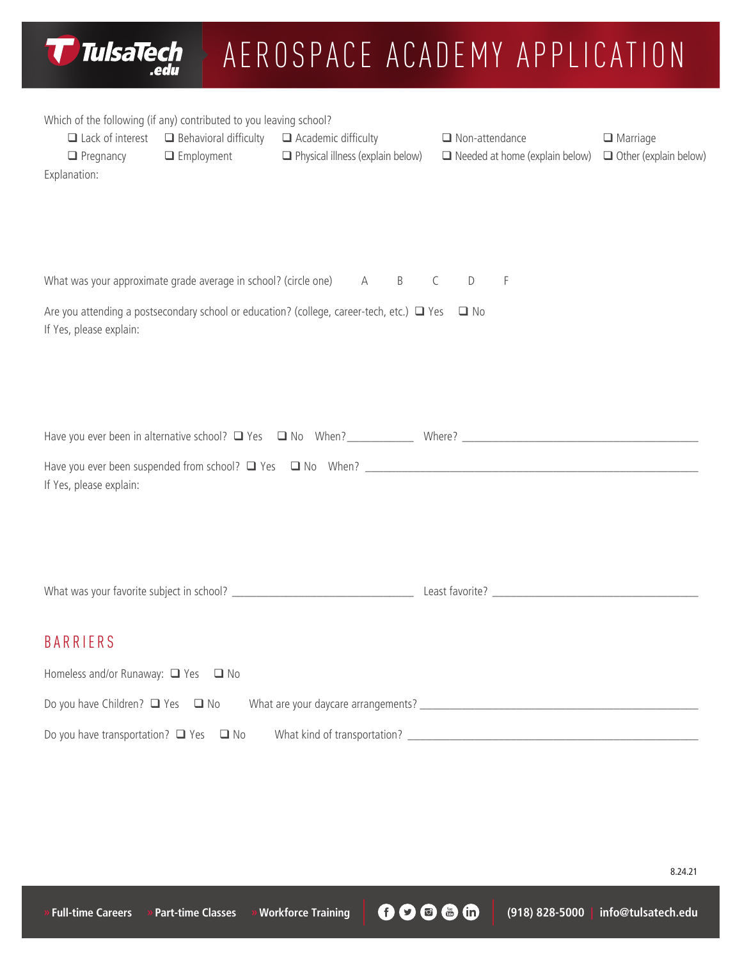| TulsaTech<br>AEROSPACE ACADEMY APPLICATION<br>.edu                                                                                                                                                                                                                                                                                                                                |
|-----------------------------------------------------------------------------------------------------------------------------------------------------------------------------------------------------------------------------------------------------------------------------------------------------------------------------------------------------------------------------------|
| Which of the following (if any) contributed to you leaving school?<br>$\Box$ Lack of interest<br>$\Box$ Behavioral difficulty $\Box$ Academic difficulty<br>$\Box$ Non-attendance<br>$\Box$ Marriage<br>$\Box$ Physical illness (explain below)<br>$\Box$ Other (explain below)<br>$\Box$ Employment<br>$\Box$ Needed at home (explain below)<br>$\Box$ Pregnancy<br>Explanation: |
| What was your approximate grade average in school? (circle one)<br>$\mathsf{D}%$<br>F<br>B<br>C<br>A<br>Are you attending a postsecondary school or education? (college, career-tech, etc.) $\Box$ Yes $\Box$ No<br>If Yes, please explain:                                                                                                                                       |
| If Yes, please explain:                                                                                                                                                                                                                                                                                                                                                           |
|                                                                                                                                                                                                                                                                                                                                                                                   |
| <b>BARRIERS</b><br>Homeless and/or Runaway: □ Yes □ No<br>Do you have transportation? $\Box$ Yes $\Box$ No                                                                                                                                                                                                                                                                        |